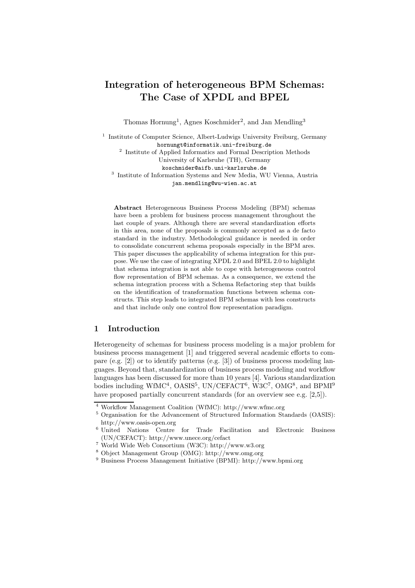# Integration of heterogeneous BPM Schemas: The Case of XPDL and BPEL

Thomas Hornung<sup>1</sup>, Agnes Koschmider<sup>2</sup>, and Jan Mendling<sup>3</sup>

<sup>1</sup> Institute of Computer Science, Albert-Ludwigs University Freiburg, Germany hornungt@informatik.uni-freiburg.de 2 Institute of Applied Informatics and Formal Description Methods University of Karlsruhe (TH), Germany koschmider@aifb.uni-karlsruhe.de 3 Institute of Information Systems and New Media, WU Vienna, Austria jan.mendling@wu-wien.ac.at

Abstract Heterogeneous Business Process Modeling (BPM) schemas have been a problem for business process management throughout the last couple of years. Although there are several standardization efforts in this area, none of the proposals is commonly accepted as a de facto standard in the industry. Methodological guidance is needed in order to consolidate concurrent schema proposals especially in the BPM ares. This paper discusses the applicability of schema integration for this purpose. We use the case of integrating XPDL 2.0 and BPEL 2.0 to highlight that schema integration is not able to cope with heterogeneous control flow representation of BPM schemas. As a consequence, we extend the schema integration process with a Schema Refactoring step that builds on the identification of transformation functions between schema constructs. This step leads to integrated BPM schemas with less constructs and that include only one control flow representation paradigm.

## 1 Introduction

Heterogeneity of schemas for business process modeling is a major problem for business process management [1] and triggered several academic efforts to compare (e.g. [2]) or to identify patterns (e.g. [3]) of business process modeling languages. Beyond that, standardization of business process modeling and workflow languages has been discussed for more than 10 years [4]. Various standardization bodies including WfMC<sup>4</sup>, OASIS<sup>5</sup>, UN/CEFACT<sup>6</sup>, W3C<sup>7</sup>, OMG<sup>8</sup>, and BPMI<sup>9</sup> have proposed partially concurrent standards (for an overview see e.g. [2,5]).

<sup>4</sup> Workflow Management Coalition (WfMC): http://www.wfmc.org

<sup>5</sup> Organisation for the Advancement of Structured Information Standards (OASIS): http://www.oasis-open.org

<sup>6</sup> United Nations Centre for Trade Facilitation and Electronic Business (UN/CEFACT): http://www.unece.org/cefact

<sup>7</sup> World Wide Web Consortium (W3C): http://www.w3.org

<sup>8</sup> Object Management Group (OMG): http://www.omg.org

<sup>9</sup> Business Process Management Initiative (BPMI): http://www.bpmi.org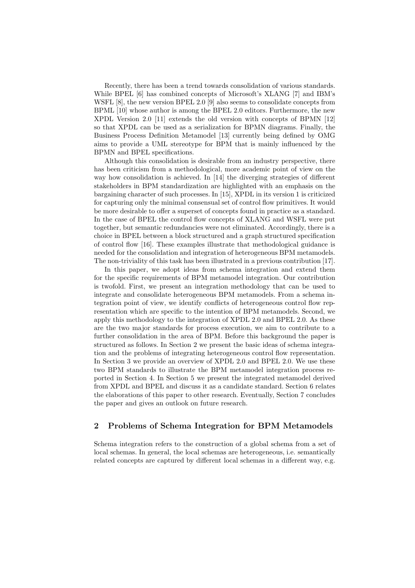Recently, there has been a trend towards consolidation of various standards. While BPEL [6] has combined concepts of Microsoft's XLANG [7] and IBM's WSFL [8], the new version BPEL 2.0 [9] also seems to consolidate concepts from BPML [10] whose author is among the BPEL 2.0 editors. Furthermore, the new XPDL Version 2.0 [11] extends the old version with concepts of BPMN [12] so that XPDL can be used as a serialization for BPMN diagrams. Finally, the Business Process Definition Metamodel [13] currently being defined by OMG aims to provide a UML stereotype for BPM that is mainly influenced by the BPMN and BPEL specifications.

Although this consolidation is desirable from an industry perspective, there has been criticism from a methodological, more academic point of view on the way how consolidation is achieved. In [14] the diverging strategies of different stakeholders in BPM standardization are highlighted with an emphasis on the bargaining character of such processes. In [15], XPDL in its version 1 is criticized for capturing only the minimal consensual set of control flow primitives. It would be more desirable to offer a superset of concepts found in practice as a standard. In the case of BPEL the control flow concepts of XLANG and WSFL were put together, but semantic redundancies were not eliminated. Accordingly, there is a choice in BPEL between a block structured and a graph structured specification of control flow [16]. These examples illustrate that methodological guidance is needed for the consolidation and integration of heterogeneous BPM metamodels. The non-triviality of this task has been illustrated in a previous contribution [17].

In this paper, we adopt ideas from schema integration and extend them for the specific requirements of BPM metamodel integration. Our contribution is twofold. First, we present an integration methodology that can be used to integrate and consolidate heterogeneous BPM metamodels. From a schema integration point of view, we identify conflicts of heterogeneous control flow representation which are specific to the intention of BPM metamodels. Second, we apply this methodology to the integration of XPDL 2.0 and BPEL 2.0. As these are the two major standards for process execution, we aim to contribute to a further consolidation in the area of BPM. Before this background the paper is structured as follows. In Section 2 we present the basic ideas of schema integration and the problems of integrating heterogeneous control flow representation. In Section 3 we provide an overview of XPDL 2.0 and BPEL 2.0. We use these two BPM standards to illustrate the BPM metamodel integration process reported in Section 4. In Section 5 we present the integrated metamodel derived from XPDL and BPEL and discuss it as a candidate standard. Section 6 relates the elaborations of this paper to other research. Eventually, Section 7 concludes the paper and gives an outlook on future research.

### 2 Problems of Schema Integration for BPM Metamodels

Schema integration refers to the construction of a global schema from a set of local schemas. In general, the local schemas are heterogeneous, i.e. semantically related concepts are captured by different local schemas in a different way, e.g.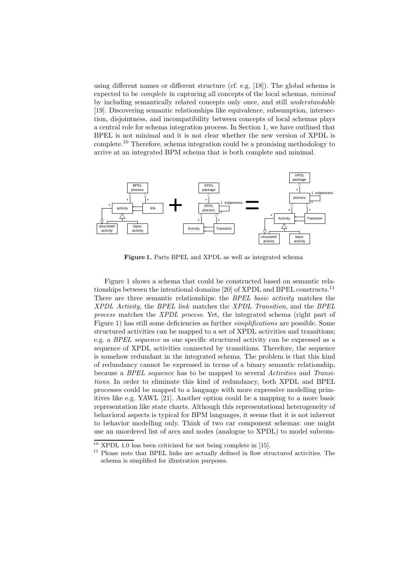using different names or different structure (cf. e.g. [18]). The global schema is expected to be complete in capturing all concepts of the local schemas, minimal by including semantically related concepts only once, and still understandable [19]. Discovering semantic relationships like equivalence, subsumption, intersection, disjointness, and incompatibility between concepts of local schemas plays a central role for schema integration process. In Section 1, we have outlined that BPEL is not minimal and it is not clear whether the new version of XPDL is complete.<sup>10</sup> Therefore, schema integration could be a promising methodology to arrive at an integrated BPM schema that is both complete and minimal.



Figure 1. Parts BPEL and XPDL as well as integrated schema

Figure 1 shows a schema that could be constructed based on semantic relationships between the intentional domains [20] of XPDL and BPEL constructs.<sup>11</sup> There are three semantic relationships: the BPEL basic activity matches the XPDL Activity, the BPEL link matches the XPDL Transition, and the BPEL process matches the XPDL process. Yet, the integrated schema (right part of Figure 1) has still some deficiencies as further *simplifications* are possible. Some structured activities can be mapped to a set of XPDL activities and transitions; e.g. a BPEL sequence as one specific structured activity can be expressed as a sequence of XPDL activities connected by transitions. Therefore, the sequence is somehow redundant in the integrated schema. The problem is that this kind of redundancy cannot be expressed in terms of a binary semantic relationship, because a BPEL sequence has to be mapped to several Activities and Transitions. In order to eliminate this kind of redundancy, both XPDL and BPEL processes could be mapped to a language with more expressive modelling primitives like e.g. YAWL [21]. Another option could be a mapping to a more basic representation like state charts. Although this representational heterogeneity of behavioral aspects is typical for BPM languages, it seems that it is not inherent to behavior modelling only. Think of two car component schemas: one might use an unordered list of arcs and nodes (analogue to XPDL) to model subcom-

 $10$  XPDL 1.0 has been criticized for not being complete in [15].

 $^{11}$  Please note that BPEL links are actually defined in flow structured activities. The schema is simplified for illustration purposes.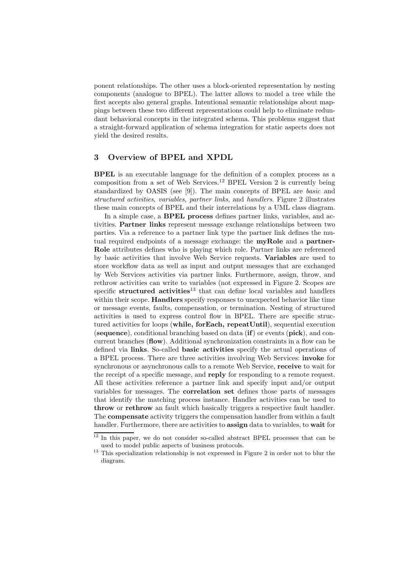ponent relationships. The other uses a block-oriented representation by nesting components (analogue to BPEL). The latter allows to model a tree while the first accepts also general graphs. Intentional semantic relationships about mappings between these two different representations could help to eliminate redundant behavioral concepts in the integrated schema. This problems suggest that a straight-forward application of schema integration for static aspects does not yield the desired results.

## 3 Overview of BPEL and XPDL

BPEL is an executable language for the definition of a complex process as a composition from a set of Web Services.<sup>12</sup> BPEL Version 2 is currently being standardized by OASIS (see [9]). The main concepts of BPEL are basic and structured activities, variables, partner links, and handlers. Figure 2 illustrates these main concepts of BPEL and their interrelations by a UML class diagram.

In a simple case, a BPEL process defines partner links, variables, and activities. Partner links represent message exchange relationships between two parties. Via a reference to a partner link type the partner link defines the mutual required endpoints of a message exchange: the **myRole** and a **partner-**Role attributes defines who is playing which role. Partner links are referenced by basic activities that involve Web Service requests. Variables are used to store workflow data as well as input and output messages that are exchanged by Web Services activities via partner links. Furthermore, assign, throw, and rethrow activities can write to variables (not expressed in Figure 2. Scopes are specific structured activities<sup>13</sup> that can define local variables and handlers within their scope. **Handlers** specify responses to unexpected behavior like time or message events, faults, compensation, or termination. Nesting of structured activities is used to express control flow in BPEL. There are specific structured activities for loops (while, forEach, repeatUntil), sequential execution (sequence), conditional branching based on data  $(i\mathbf{f})$  or events (pick), and concurrent branches (flow). Additional synchronization constraints in a flow can be defined via links. So-called basic activities specify the actual operations of a BPEL process. There are three activities involving Web Services: invoke for synchronous or asynchronous calls to a remote Web Service, receive to wait for the receipt of a specific message, and reply for responding to a remote request. All these activities reference a partner link and specify input and/or output variables for messages. The correlation set defines those parts of messages that identify the matching process instance. Handler activities can be used to throw or rethrow an fault which basically triggers a respective fault handler. The compensate activity triggers the compensation handler from within a fault handler. Furthermore, there are activities to **assign** data to variables, to **wait** for

 $12$  In this paper, we do not consider so-called abstract BPEL processes that can be used to model public aspects of business protocols.

<sup>&</sup>lt;sup>13</sup> This specialization relationship is not expressed in Figure 2 in order not to blur the diagram.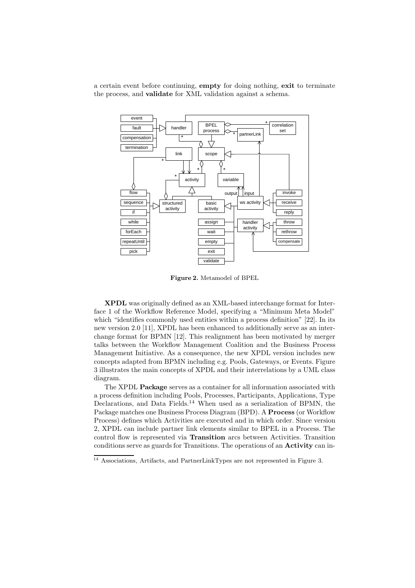a certain event before continuing, empty for doing nothing, exit to terminate the process, and validate for XML validation against a schema.



Figure 2. Metamodel of BPEL

XPDL was originally defined as an XML-based interchange format for Interface 1 of the Workflow Reference Model, specifying a "Minimum Meta Model" which "identifies commonly used entities within a process definition" [22]. In its new version 2.0 [11], XPDL has been enhanced to additionally serve as an interchange format for BPMN [12]. This realignment has been motivated by merger talks between the Workflow Management Coalition and the Business Process Management Initiative. As a consequence, the new XPDL version includes new concepts adapted from BPMN including e.g. Pools, Gateways, or Events. Figure 3 illustrates the main concepts of XPDL and their interrelations by a UML class diagram.

The XPDL Package serves as a container for all information associated with a process definition including Pools, Processes, Participants, Applications, Type Declarations, and Data Fields.<sup>14</sup> When used as a serialization of BPMN, the Package matches one Business Process Diagram (BPD). A Process (or Workflow Process) defines which Activities are executed and in which order. Since version 2, XPDL can include partner link elements similar to BPEL in a Process. The control flow is represented via Transition arcs between Activities. Transition conditions serve as guards for Transitions. The operations of an Activity can in-

<sup>14</sup> Associations, Artifacts, and PartnerLinkTypes are not represented in Figure 3.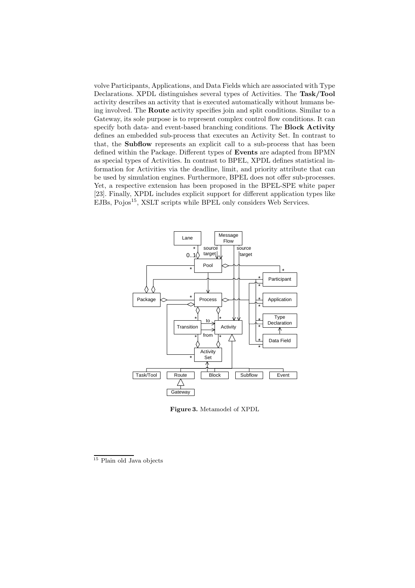volve Participants, Applications, and Data Fields which are associated with Type Declarations. XPDL distinguishes several types of Activities. The Task/Tool activity describes an activity that is executed automatically without humans being involved. The Route activity specifies join and split conditions. Similar to a Gateway, its sole purpose is to represent complex control flow conditions. It can specify both data- and event-based branching conditions. The **Block Activity** defines an embedded sub-process that executes an Activity Set. In contrast to that, the Subflow represents an explicit call to a sub-process that has been defined within the Package. Different types of Events are adapted from BPMN as special types of Activities. In contrast to BPEL, XPDL defines statistical information for Activities via the deadline, limit, and priority attribute that can be used by simulation engines. Furthermore, BPEL does not offer sub-processes. Yet, a respective extension has been proposed in the BPEL-SPE white paper [23]. Finally, XPDL includes explicit support for different application types like EJBs, Pojos<sup>15</sup>, XSLT scripts while BPEL only considers Web Services.



Figure 3. Metamodel of XPDL

 $15$  Plain old Java objects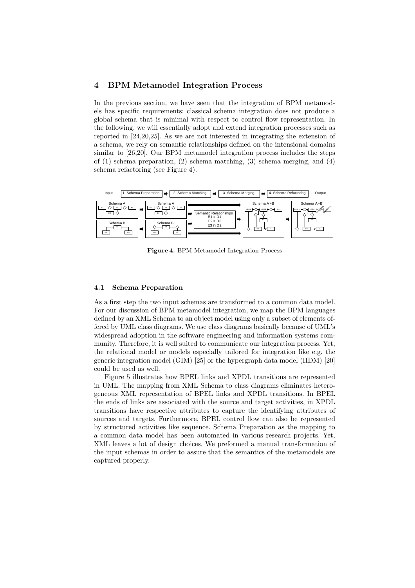#### 4 BPM Metamodel Integration Process

In the previous section, we have seen that the integration of BPM metamodels has specific requirements: classical schema integration does not produce a global schema that is minimal with respect to control flow representation. In the following, we will essentially adopt and extend integration processes such as reported in [24,20,25]. As we are not interested in integrating the extension of a schema, we rely on semantic relationships defined on the intensional domains similar to [26,20]. Our BPM metamodel integration process includes the steps of (1) schema preparation, (2) schema matching, (3) schema merging, and (4) schema refactoring (see Figure 4).



Figure 4. BPM Metamodel Integration Process

#### 4.1 Schema Preparation

As a first step the two input schemas are transformed to a common data model. For our discussion of BPM metamodel integration, we map the BPM languages defined by an XML Schema to an object model using only a subset of elements offered by UML class diagrams. We use class diagrams basically because of UML's widespread adoption in the software engineering and information systems community. Therefore, it is well suited to communicate our integration process. Yet, the relational model or models especially tailored for integration like e.g. the generic integration model (GIM) [25] or the hypergraph data model (HDM) [20] could be used as well.

Figure 5 illustrates how BPEL links and XPDL transitions are represented in UML. The mapping from XML Schema to class diagrams eliminates heterogeneous XML representation of BPEL links and XPDL transitions. In BPEL the ends of links are associated with the source and target activities, in XPDL transitions have respective attributes to capture the identifying attributes of sources and targets. Furthermore, BPEL control flow can also be represented by structured activities like sequence. Schema Preparation as the mapping to a common data model has been automated in various research projects. Yet, XML leaves a lot of design choices. We preformed a manual transformation of the input schemas in order to assure that the semantics of the metamodels are captured properly.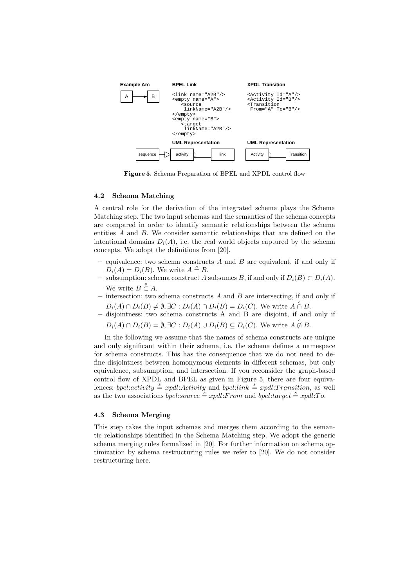

Figure 5. Schema Preparation of BPEL and XPDL control flow

#### 4.2 Schema Matching

A central role for the derivation of the integrated schema plays the Schema Matching step. The two input schemas and the semantics of the schema concepts are compared in order to identify semantic relationships between the schema entities A and B. We consider semantic relationships that are defined on the intentional domains  $D_i(A)$ , i.e. the real world objects captured by the schema concepts. We adopt the definitions from [20].

- equivalence: two schema constructs  $A$  and  $B$  are equivalent, if and only if  $D_i(A) = D_i(B)$ . We write  $A \stackrel{\text{d}}{=} B$ .
- subsumption: schema construct A subsumes B, if and only if  $D_i(B) \subset D_i(A)$ . We write  $B \overset{s}{\subset} A$ .
- intersection: two schema constructs  $A$  and  $B$  are intersecting, if and only if  $D_i(A) \cap D_i(B) \neq \emptyset, \exists C : D_i(A) \cap D_i(B) = D_i(C)$ . We write  $A \stackrel{s}{\cap} B$ .
- $-$  disjointness: two schema constructs A and B are disjoint, if and only if  $D_i(A) \cap D_i(B) = \emptyset, \exists C : D_i(A) \cup D_i(B) \subseteq D_i(C)$ . We write  $A \not\cap B$ .

In the following we assume that the names of schema constructs are unique and only significant within their schema, i.e. the schema defines a namespace for schema constructs. This has the consequence that we do not need to define disjointness between homonymous elements in different schemas, but only equivalence, subsumption, and intersection. If you reconsider the graph-based control flow of XPDL and BPEL as given in Figure 5, there are four equivalences: bpel:activity  $\stackrel{s}{=}$  xpdl:Activity and bpel:link  $\stackrel{s}{=}$  xpdl:Transition, as well as the two associations *bpel:source*  $\stackrel{s}{=}$  *xpdl:From and bpel:target*  $\stackrel{s}{=}$  *xpdl:To.* 

#### 4.3 Schema Merging

This step takes the input schemas and merges them according to the semantic relationships identified in the Schema Matching step. We adopt the generic schema merging rules formalized in [20]. For further information on schema optimization by schema restructuring rules we refer to [20]. We do not consider restructuring here.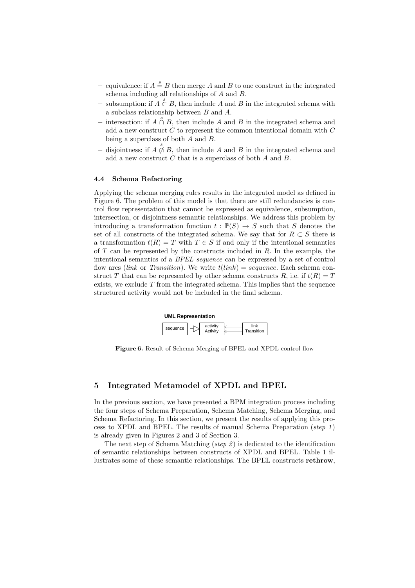- equivalence: if  $A \stackrel{s}{=} B$  then merge A and B to one construct in the integrated schema including all relationships of A and B.
- subsumption: if  $A \stackrel{s}{\subset} B$ , then include A and B in the integrated schema with a subclass relationship between B and A.
- − intersection: if  $A \cap B$ , then include A and B in the integrated schema and add a new construct  $C$  to represent the common intentional domain with  $C$ being a superclass of both  $A$  and  $B$ .
- − disjointness: if  $A \not\cap B$ , then include A and B in the integrated schema and add a new construct C that is a superclass of both A and B.

#### 4.4 Schema Refactoring

Applying the schema merging rules results in the integrated model as defined in Figure 6. The problem of this model is that there are still redundancies is control flow representation that cannot be expressed as equivalence, subsumption, intersection, or disjointness semantic relationships. We address this problem by introducing a transformation function  $t : \mathbb{P}(S) \to S$  such that S denotes the set of all constructs of the integrated schema. We say that for  $R \subset S$  there is a transformation  $t(R) = T$  with  $T \in S$  if and only if the intentional semantics of  $T$  can be represented by the constructs included in  $R$ . In the example, the intentional semantics of a BPEL sequence can be expressed by a set of control flow arcs (link or Transition). We write  $t(link) = sequence$ . Each schema construct T that can be represented by other schema constructs R, i.e. if  $t(R) = T$ exists, we exclude  $T$  from the integrated schema. This implies that the sequence structured activity would not be included in the final schema.



Figure 6. Result of Schema Merging of BPEL and XPDL control flow

## 5 Integrated Metamodel of XPDL and BPEL

In the previous section, we have presented a BPM integration process including the four steps of Schema Preparation, Schema Matching, Schema Merging, and Schema Refactoring. In this section, we present the results of applying this process to XPDL and BPEL. The results of manual Schema Preparation (step 1) is already given in Figures 2 and 3 of Section 3.

The next step of Schema Matching (step 2) is dedicated to the identification of semantic relationships between constructs of XPDL and BPEL. Table 1 illustrates some of these semantic relationships. The BPEL constructs rethrow,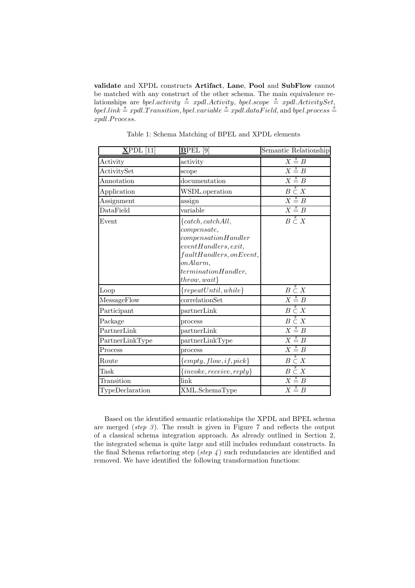validate and XPDL constructs Artifact, Lane, Pool and SubFlow cannot be matched with any construct of the other schema. The main equivalence relationships are *bpel.activity*  $\stackrel{s}{=}$  *xpdl.Activity, bpel.scope*  $\stackrel{s}{=}$  *xpdl.ActivitySet,* bpel.link  $\stackrel{s}{=}$  xpdl.Transition, bpel.variable  $\stackrel{s}{=}$  xpdl.dataField, and bpel.process  $\stackrel{s}{=}$ xpdl.Process.

| $\overline{\text{XPDL}}$ [11] | <b>BPEL</b><br>$\lceil 9 \rceil$                                                                                                                                                                   | Semantic Relationship     |
|-------------------------------|----------------------------------------------------------------------------------------------------------------------------------------------------------------------------------------------------|---------------------------|
| Activity                      | activity                                                                                                                                                                                           | $X \stackrel{s}{=} B$     |
| ActivitySet                   | scope                                                                                                                                                                                              | $X \stackrel{s}{=} B$     |
| Annotation                    | documentation                                                                                                                                                                                      | $X \stackrel{s}{=} B$     |
| Application                   | WSDL.operation                                                                                                                                                                                     | $B\overset{s}{\subset} X$ |
| Assignment                    | assign                                                                                                                                                                                             | $X \stackrel{s}{=} B$     |
| DataField                     | variable                                                                                                                                                                                           | $X \stackrel{s}{=} B$     |
| Event                         | $\{catch, catch All,$<br>compare <sub>8</sub><br>compensation H andler<br>eventHandlers, exit,<br>$\label{faultH} faultHandlers, on Event,$<br>onAlarm,<br>terminationHandler,<br>$th row, wait\}$ | $B\overset{s}{\subset} X$ |
| Loop                          | ${repeatUntil, while}$                                                                                                                                                                             | $B\overset{s}{\subset} X$ |
| MessageFlow                   | correlationSet                                                                                                                                                                                     | $X \stackrel{s}{=} B$     |
| Participant                   | partnerLink                                                                                                                                                                                        | $B\overset{s}{\subset} X$ |
| Package                       | process                                                                                                                                                                                            | $B\overset{s}{\subset} X$ |
| PartnerLink                   | partnerLink                                                                                                                                                                                        | $X \stackrel{s}{=} B$     |
| PartnerLinkType               | partnerLinkType                                                                                                                                                                                    | $X \stackrel{s}{=} B$     |
| Process                       | process                                                                                                                                                                                            | $X \stackrel{s}{=} B$     |
| Route                         | ${empty, flow, if, pick}$                                                                                                                                                                          | $B\overset{s}{\subset} X$ |
| Task                          | $\{invoke, receive, reply\}$                                                                                                                                                                       | $B\overset{s}{\subset} X$ |
| Transition                    | link                                                                                                                                                                                               | $X \stackrel{s}{=} B$     |
| TypeDeclaration               | XML.SchemaType                                                                                                                                                                                     | $X \stackrel{s}{=} B$     |

Table 1: Schema Matching of BPEL and XPDL elements

Based on the identified semantic relationships the XPDL and BPEL schema are merged (step 3). The result is given in Figure 7 and reflects the output of a classical schema integration approach. As already outlined in Section 2, the integrated schema is quite large and still includes redundant constructs. In the final Schema refactoring step (step  $\downarrow$ ) such redundancies are identified and removed. We have identified the following transformation functions: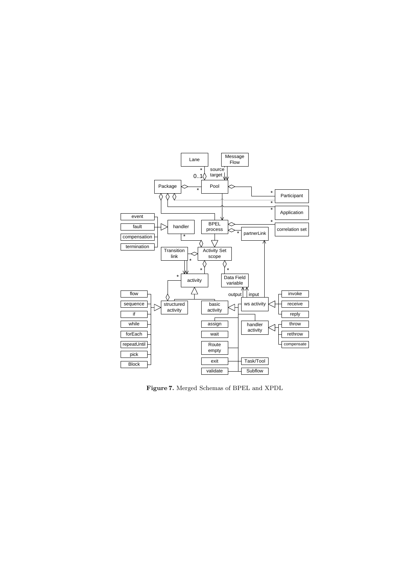

Figure 7. Merged Schemas of BPEL and XPDL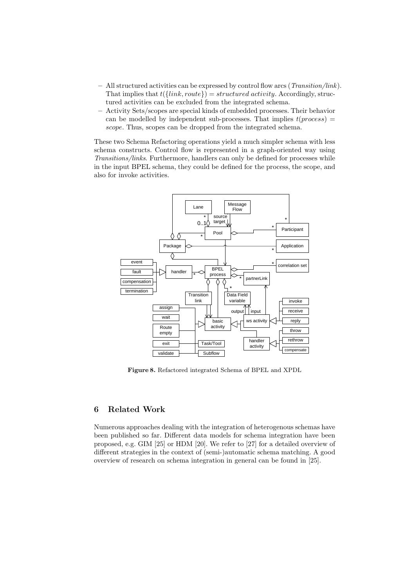- All structured activities can be expressed by control flow arcs (Transition/link). That implies that  $t({link, route}) = structured \, activity.$  Accordingly, structured activities can be excluded from the integrated schema.
- Activity Sets/scopes are special kinds of embedded processes. Their behavior can be modelled by independent sub-processes. That implies  $t(process)$ scope. Thus, scopes can be dropped from the integrated schema.

These two Schema Refactoring operations yield a much simpler schema with less schema constructs. Control flow is represented in a graph-oriented way using Transitions/links. Furthermore, handlers can only be defined for processes while in the input BPEL schema, they could be defined for the process, the scope, and also for invoke activities.



Figure 8. Refactored integrated Schema of BPEL and XPDL

## 6 Related Work

Numerous approaches dealing with the integration of heterogenous schemas have been published so far. Different data models for schema integration have been proposed, e.g. GIM [25] or HDM [20]. We refer to [27] for a detailed overview of different strategies in the context of (semi-)automatic schema matching. A good overview of research on schema integration in general can be found in [25].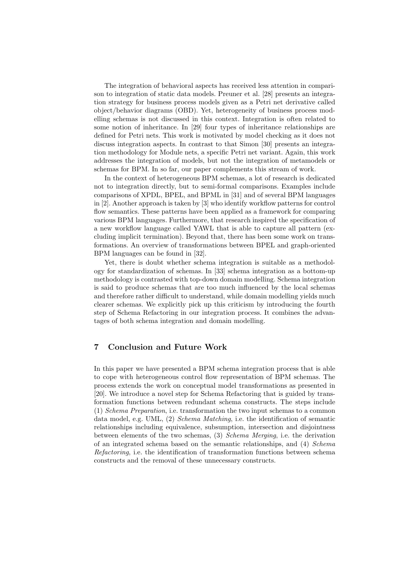The integration of behavioral aspects has received less attention in comparison to integration of static data models. Preuner et al. [28] presents an integration strategy for business process models given as a Petri net derivative called object/behavior diagrams (OBD). Yet, heterogeneity of business process modelling schemas is not discussed in this context. Integration is often related to some notion of inheritance. In [29] four types of inheritance relationships are defined for Petri nets. This work is motivated by model checking as it does not discuss integration aspects. In contrast to that Simon [30] presents an integration methodology for Module nets, a specific Petri net variant. Again, this work addresses the integration of models, but not the integration of metamodels or schemas for BPM. In so far, our paper complements this stream of work.

In the context of heterogeneous BPM schemas, a lot of research is dedicated not to integration directly, but to semi-formal comparisons. Examples include comparisons of XPDL, BPEL, and BPML in [31] and of several BPM languages in [2]. Another approach is taken by [3] who identify workflow patterns for control flow semantics. These patterns have been applied as a framework for comparing various BPM languages. Furthermore, that research inspired the specification of a new workflow language called YAWL that is able to capture all pattern (excluding implicit termination). Beyond that, there has been some work on transformations. An overview of transformations between BPEL and graph-oriented BPM languages can be found in [32].

Yet, there is doubt whether schema integration is suitable as a methodology for standardization of schemas. In [33] schema integration as a bottom-up methodology is contrasted with top-down domain modelling. Schema integration is said to produce schemas that are too much influenced by the local schemas and therefore rather difficult to understand, while domain modelling yields much clearer schemas. We explicitly pick up this criticism by introducing the fourth step of Schema Refactoring in our integration process. It combines the advantages of both schema integration and domain modelling.

## 7 Conclusion and Future Work

In this paper we have presented a BPM schema integration process that is able to cope with heterogeneous control flow representation of BPM schemas. The process extends the work on conceptual model transformations as presented in [20]. We introduce a novel step for Schema Refactoring that is guided by transformation functions between redundant schema constructs. The steps include (1) Schema Preparation, i.e. transformation the two input schemas to a common data model, e.g. UML, (2) Schema Matching, i.e. the identification of semantic relationships including equivalence, subsumption, intersection and disjointness between elements of the two schemas, (3) Schema Merging, i.e. the derivation of an integrated schema based on the semantic relationships, and (4) Schema Refactoring, i.e. the identification of transformation functions between schema constructs and the removal of these unnecessary constructs.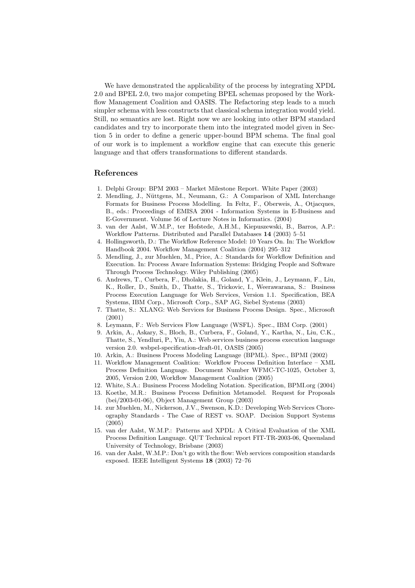We have demonstrated the applicability of the process by integrating XPDL 2.0 and BPEL 2.0, two major competing BPEL schemas proposed by the Workflow Management Coalition and OASIS. The Refactoring step leads to a much simpler schema with less constructs that classical schema integration would yield. Still, no semantics are lost. Right now we are looking into other BPM standard candidates and try to incorporate them into the integrated model given in Section 5 in order to define a generic upper-bound BPM schema. The final goal of our work is to implement a workflow engine that can execute this generic language and that offers transformations to different standards.

## References

- 1. Delphi Group: BPM 2003 Market Milestone Report. White Paper (2003)
- 2. Mendling, J., Nüttgens, M., Neumann, G.: A Comparison of XML Interchange Formats for Business Process Modelling. In Feltz, F., Oberweis, A., Otjacques, B., eds.: Proceedings of EMISA 2004 - Information Systems in E-Business and E-Government. Volume 56 of Lecture Notes in Informatics. (2004)
- 3. van der Aalst, W.M.P., ter Hofstede, A.H.M., Kiepuszewski, B., Barros, A.P.: Workflow Patterns. Distributed and Parallel Databases 14 (2003) 5–51
- 4. Hollingsworth, D.: The Workflow Reference Model: 10 Years On. In: The Workflow Handbook 2004. Workflow Management Coalition (2004) 295–312
- 5. Mendling, J., zur Muehlen, M., Price, A.: Standards for Workflow Definition and Execution. In: Process Aware Information Systems: Bridging People and Software Through Process Technology. Wiley Publishing (2005)
- 6. Andrews, T., Curbera, F., Dholakia, H., Goland, Y., Klein, J., Leymann, F., Liu, K., Roller, D., Smith, D., Thatte, S., Trickovic, I., Weerawarana, S.: Business Process Execution Language for Web Services, Version 1.1. Specification, BEA Systems, IBM Corp., Microsoft Corp., SAP AG, Siebel Systems (2003)
- 7. Thatte, S.: XLANG: Web Services for Business Process Design. Spec., Microsoft (2001)
- 8. Leymann, F.: Web Services Flow Language (WSFL). Spec., IBM Corp. (2001)
- 9. Arkin, A., Askary, S., Bloch, B., Curbera, F., Goland, Y., Kartha, N., Liu, C.K., Thatte, S., Yendluri, P., Yiu, A.: Web services business process execution language version 2.0. wsbpel-specification-draft-01, OASIS (2005)
- 10. Arkin, A.: Business Process Modeling Language (BPML). Spec., BPMI (2002)
- 11. Workflow Management Coalition: Workflow Process Definition Interface XML Process Definition Language. Document Number WFMC-TC-1025, October 3, 2005, Version 2.00, Workflow Management Coalition (2005)
- 12. White, S.A.: Business Process Modeling Notation. Specification, BPMI.org (2004)
- 13. Koethe, M.R.: Business Process Definition Metamodel. Request for Proposals (bei/2003-01-06), Object Management Group (2003)
- 14. zur Muehlen, M., Nickerson, J.V., Swenson, K.D.: Developing Web Services Choreography Standards - The Case of REST vs. SOAP. Decision Support Systems (2005)
- 15. van der Aalst, W.M.P.: Patterns and XPDL: A Critical Evaluation of the XML Process Definition Language. QUT Technical report FIT-TR-2003-06, Queensland University of Technology, Brisbane (2003)
- 16. van der Aalst, W.M.P.: Don't go with the flow: Web services composition standards exposed. IEEE Intelligent Systems 18 (2003) 72–76